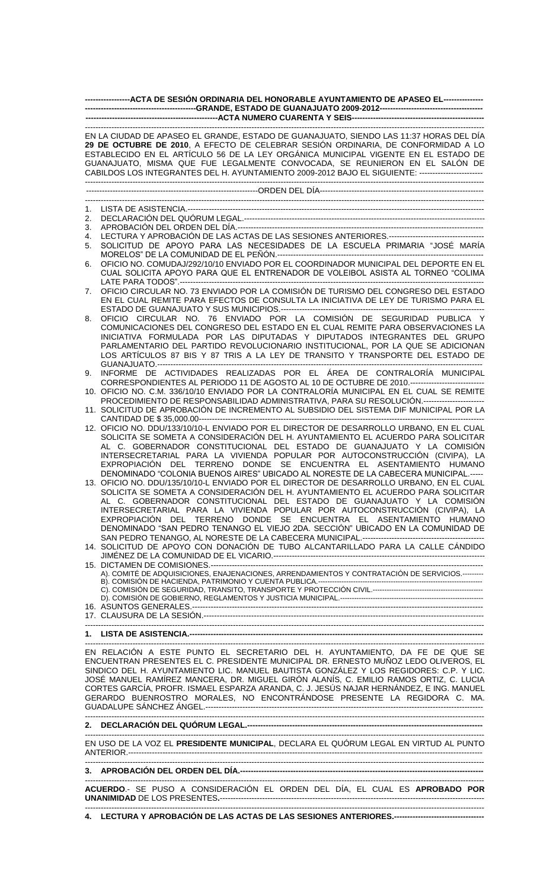| ------------------ACTA DE SESIÓN ORDINARIA DEL HONORABLE AYUNTAMIENTO DE APASEO EL---------------- |                                                                                                                                                                                                                                                                                                                                                                                                                                                                                                                                                                                                                                                                                                                                                                                                                                                                                                         |  |  |  |  |
|----------------------------------------------------------------------------------------------------|---------------------------------------------------------------------------------------------------------------------------------------------------------------------------------------------------------------------------------------------------------------------------------------------------------------------------------------------------------------------------------------------------------------------------------------------------------------------------------------------------------------------------------------------------------------------------------------------------------------------------------------------------------------------------------------------------------------------------------------------------------------------------------------------------------------------------------------------------------------------------------------------------------|--|--|--|--|
|                                                                                                    |                                                                                                                                                                                                                                                                                                                                                                                                                                                                                                                                                                                                                                                                                                                                                                                                                                                                                                         |  |  |  |  |
|                                                                                                    |                                                                                                                                                                                                                                                                                                                                                                                                                                                                                                                                                                                                                                                                                                                                                                                                                                                                                                         |  |  |  |  |
|                                                                                                    | EN LA CIUDAD DE APASEO EL GRANDE, ESTADO DE GUANAJUATO, SIENDO LAS 11:37 HORAS DEL DÍA<br>29 DE OCTUBRE DE 2010, A EFECTO DE CELEBRAR SESIÓN ORDINARIA, DE CONFORMIDAD A LO<br>ESTABLECIDO EN EL ARTÍCULO 56 DE LA LEY ORGÁNICA MUNICIPAL VIGENTE EN EL ESTADO DE<br>GUANAJUATO, MISMA QUE FUE LEGALMENTE CONVOCADA, SE REUNIERON EN EL SALÓN DE<br>CABILDOS LOS INTEGRANTES DEL H. AYUNTAMIENTO 2009-2012 BAJO EL SIGUIENTE: ------------------------                                                                                                                                                                                                                                                                                                                                                                                                                                                  |  |  |  |  |
|                                                                                                    |                                                                                                                                                                                                                                                                                                                                                                                                                                                                                                                                                                                                                                                                                                                                                                                                                                                                                                         |  |  |  |  |
|                                                                                                    |                                                                                                                                                                                                                                                                                                                                                                                                                                                                                                                                                                                                                                                                                                                                                                                                                                                                                                         |  |  |  |  |
| 1.                                                                                                 |                                                                                                                                                                                                                                                                                                                                                                                                                                                                                                                                                                                                                                                                                                                                                                                                                                                                                                         |  |  |  |  |
| 2.                                                                                                 |                                                                                                                                                                                                                                                                                                                                                                                                                                                                                                                                                                                                                                                                                                                                                                                                                                                                                                         |  |  |  |  |
| 3.                                                                                                 |                                                                                                                                                                                                                                                                                                                                                                                                                                                                                                                                                                                                                                                                                                                                                                                                                                                                                                         |  |  |  |  |
| 4.                                                                                                 | LECTURA Y APROBACIÓN DE LAS ACTAS DE LAS SESIONES ANTERIORES.----------------------------------                                                                                                                                                                                                                                                                                                                                                                                                                                                                                                                                                                                                                                                                                                                                                                                                         |  |  |  |  |
| 5.                                                                                                 | SOLICITUD DE APOYO PARA LAS NECESIDADES DE LA ESCUELA PRIMARIA "JOSÉ MARÍA                                                                                                                                                                                                                                                                                                                                                                                                                                                                                                                                                                                                                                                                                                                                                                                                                              |  |  |  |  |
| 6.                                                                                                 | OFICIO NO. COMUDAJ/292/10/10 ENVIADO POR EL COORDINADOR MUNICIPAL DEL DEPORTE EN EL<br>CUAL SOLICITA APOYO PARA QUE EL ENTRENADOR DE VOLEIBOL ASISTA AL TORNEO "COLIMA                                                                                                                                                                                                                                                                                                                                                                                                                                                                                                                                                                                                                                                                                                                                  |  |  |  |  |
| 7.                                                                                                 | OFICIO CIRCULAR NO. 73 ENVIADO POR LA COMISIÓN DE TURISMO DEL CONGRESO DEL ESTADO<br>EN EL CUAL REMITE PARA EFECTOS DE CONSULTA LA INICIATIVA DE LEY DE TURISMO PARA EL                                                                                                                                                                                                                                                                                                                                                                                                                                                                                                                                                                                                                                                                                                                                 |  |  |  |  |
| 8.                                                                                                 | OFICIO CIRCULAR NO. 76 ENVIADO POR LA COMISIÓN DE SEGURIDAD PUBLICA Y                                                                                                                                                                                                                                                                                                                                                                                                                                                                                                                                                                                                                                                                                                                                                                                                                                   |  |  |  |  |
|                                                                                                    | COMUNICACIONES DEL CONGRESO DEL ESTADO EN EL CUAL REMITE PARA OBSERVACIONES LA<br>INICIATIVA FORMULADA POR LAS DIPUTADAS Y DIPUTADOS INTEGRANTES DEL GRUPO<br>PARLAMENTARIO DEL PARTIDO REVOLUCIONARIO INSTITUCIONAL, POR LA QUE SE ADICIONAN<br>LOS ARTÍCULOS 87 BIS Y 87 TRIS A LA LEY DE TRANSITO Y TRANSPORTE DEL ESTADO DE                                                                                                                                                                                                                                                                                                                                                                                                                                                                                                                                                                         |  |  |  |  |
| 9.                                                                                                 | INFORME DE ACTIVIDADES REALIZADAS POR EL ÁREA DE CONTRALORÍA MUNICIPAL                                                                                                                                                                                                                                                                                                                                                                                                                                                                                                                                                                                                                                                                                                                                                                                                                                  |  |  |  |  |
|                                                                                                    | CORRESPONDIENTES AL PERIODO 11 DE AGOSTO AL 10 DE OCTUBRE DE 2010.----------------------------<br>10. OFICIO NO. C.M. 336/10/10 ENVIADO POR LA CONTRALORÍA MUNICIPAL EN EL CUAL SE REMITE<br>PROCEDIMIENTO DE RESPONSABILIDAD ADMINISTRATIVA, PARA SU RESOLUCIÓN.----------------------                                                                                                                                                                                                                                                                                                                                                                                                                                                                                                                                                                                                                 |  |  |  |  |
|                                                                                                    | 11. SOLICITUD DE APROBACIÓN DE INCREMENTO AL SUBSIDIO DEL SISTEMA DIF MUNICIPAL POR LA                                                                                                                                                                                                                                                                                                                                                                                                                                                                                                                                                                                                                                                                                                                                                                                                                  |  |  |  |  |
|                                                                                                    | 12. OFICIO NO. DDU/133/10/10-L ENVIADO POR EL DIRECTOR DE DESARROLLO URBANO, EN EL CUAL                                                                                                                                                                                                                                                                                                                                                                                                                                                                                                                                                                                                                                                                                                                                                                                                                 |  |  |  |  |
|                                                                                                    | SOLICITA SE SOMETA A CONSIDERACIÓN DEL H. AYUNTAMIENTO EL ACUERDO PARA SOLICITAR<br>AL C. GOBERNADOR CONSTITUCIONAL DEL ESTADO DE GUANAJUATO Y LA COMISIÓN<br>INTERSECRETARIAL PARA LA VIVIENDA POPULAR POR AUTOCONSTRUCCIÓN (CIVIPA), LA<br>EXPROPIACIÓN DEL TERRENO DONDE SE ENCUENTRA EL ASENTAMIENTO HUMANO<br>DENOMINADO "COLONIA BUENOS AIRES" UBICADO AL NORESTE DE LA CABECERA MUNICIPAL.-----<br>13. OFICIO NO. DDU/135/10/10-L ENVIADO POR EL DIRECTOR DE DESARROLLO URBANO, EN EL CUAL<br>SOLICITA SE SOMETA A CONSIDERACIÓN DEL H. AYUNTAMIENTO EL ACUERDO PARA SOLICITAR<br>AL C. GOBERNADOR CONSTITUCIONAL DEL ESTADO DE GUANAJUATO Y LA COMISIÓN<br>INTERSECRETARIAL PARA LA VIVIENDA POPULAR POR AUTOCONSTRUCCIÓN (CIVIPA), LA<br>EXPROPIACIÓN DEL TERRENO DONDE SE ENCUENTRA EL ASENTAMIENTO HUMANO<br>DENOMINADO "SAN PEDRO TENANGO EL VIEJO 2DA. SECCIÓN" UBICADO EN LA COMUNIDAD DE |  |  |  |  |
|                                                                                                    | 14. SOLICITUD DE APOYO CON DONACIÓN DE TUBO ALCANTARILLADO PARA LA CALLE CÁNDIDO                                                                                                                                                                                                                                                                                                                                                                                                                                                                                                                                                                                                                                                                                                                                                                                                                        |  |  |  |  |
|                                                                                                    |                                                                                                                                                                                                                                                                                                                                                                                                                                                                                                                                                                                                                                                                                                                                                                                                                                                                                                         |  |  |  |  |
|                                                                                                    |                                                                                                                                                                                                                                                                                                                                                                                                                                                                                                                                                                                                                                                                                                                                                                                                                                                                                                         |  |  |  |  |
|                                                                                                    | A). COMITÉ DE ADQUISICIONES, ENAJENACIONES, ARRENDAMIENTOS Y CONTRATACIÓN DE SERVICIOS.---------                                                                                                                                                                                                                                                                                                                                                                                                                                                                                                                                                                                                                                                                                                                                                                                                        |  |  |  |  |
|                                                                                                    |                                                                                                                                                                                                                                                                                                                                                                                                                                                                                                                                                                                                                                                                                                                                                                                                                                                                                                         |  |  |  |  |
|                                                                                                    |                                                                                                                                                                                                                                                                                                                                                                                                                                                                                                                                                                                                                                                                                                                                                                                                                                                                                                         |  |  |  |  |
|                                                                                                    |                                                                                                                                                                                                                                                                                                                                                                                                                                                                                                                                                                                                                                                                                                                                                                                                                                                                                                         |  |  |  |  |
|                                                                                                    | EN RELACIÓN A ESTE PUNTO EL SECRETARIO DEL H. AYUNTAMIENTO, DA FE DE QUE SE<br>ENCUENTRAN PRESENTES EL C. PRESIDENTE MUNICIPAL DR. ERNESTO MUÑOZ LEDO OLIVEROS, EL<br>SINDICO DEL H. AYUNTAMIENTO LIC. MANUEL BAUTISTA GONZÁLEZ Y LOS REGIDORES: C.P. Y LIC.<br>JOSÉ MANUEL RAMÍREZ MANCERA, DR. MIGUEL GIRÓN ALANÍS, C. EMILIO RAMOS ORTIZ, C. LUCIA<br>CORTES GARCÍA, PROFR. ISMAEL ESPARZA ARANDA, C. J. JESÚS NAJAR HERNÁNDEZ, E ING. MANUEL<br>GERARDO BUENROSTRO MORALES, NO ENCONTRÁNDOSE PRESENTE LA REGIDORA C. MA.                                                                                                                                                                                                                                                                                                                                                                            |  |  |  |  |
|                                                                                                    |                                                                                                                                                                                                                                                                                                                                                                                                                                                                                                                                                                                                                                                                                                                                                                                                                                                                                                         |  |  |  |  |

## **2. DECLARACIÓN DEL QUÓRUM LEGAL.-----------------------------------------------------------------------------------------**

------------------------------------------------------------------------------------------------------------------------------------------------------- EN USO DE LA VOZ EL **PRESIDENTE MUNICIPAL**, DECLARA EL QUÓRUM LEGAL EN VIRTUD AL PUNTO ANTERIOR.-------------------------------------------------------------------------------------------------------------------------------------- -------------------------------------------------------------------------------------------------------------------------------------------------------

# **3. APROBACIÓN DEL ORDEN DEL DÍA.--------------------------------------------------------------------------------------------**

------------------------------------------------------------------------------------------------------------------------------------------------------- **ACUERDO**.- SE PUSO A CONSIDERACIÓN EL ORDEN DEL DÍA, EL CUAL ES **APROBADO POR UNANIMIDAD** DE LOS PRESENTES**.**----------------------------------------------------------------------------------------------------

------------------------------------------------------------------------------------------------------------------------------------------------------- **4. LECTURA Y APROBACIÓN DE LAS ACTAS DE LAS SESIONES ANTERIORES.----------------------------------**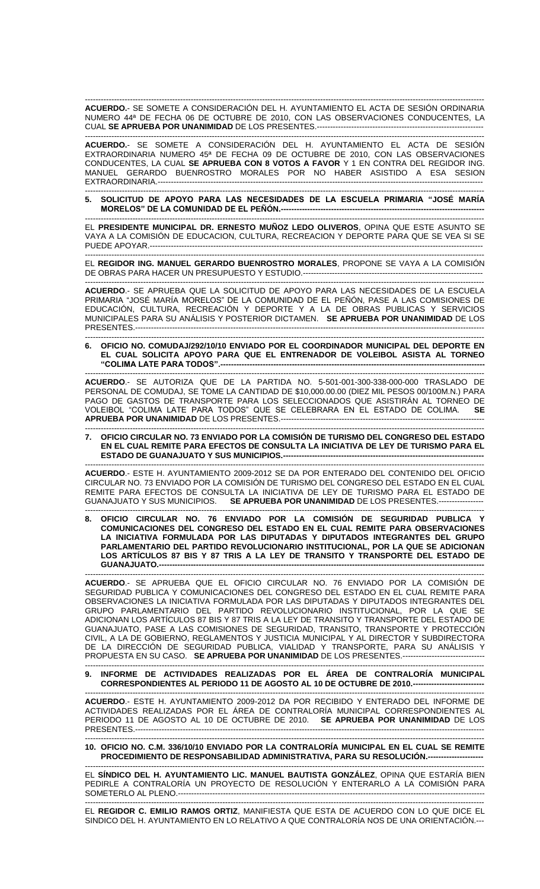------------------------------------------------------------------------------------------------------------------------------------------------------- **ACUERDO.**- SE SOMETE A CONSIDERACIÓN DEL H. AYUNTAMIENTO EL ACTA DE SESIÓN ORDINARIA NUMERO 44ª DE FECHA 06 DE OCTUBRE DE 2010, CON LAS OBSERVACIONES CONDUCENTES, LA CUAL **SE APRUEBA POR UNANIMIDAD** DE LOS PRESENTES.---------------------------------------------------------------

------------------------------------------------------------------------------------------------------------------------------------------------------- **ACUERDO.**- SE SOMETE A CONSIDERACIÓN DEL H. AYUNTAMIENTO EL ACTA DE SESIÓN EXTRAORDINARIA NUMERO 45ª DE FECHA 09 DE OCTUBRE DE 2010, CON LAS OBSERVACIONES CONDUCENTES, LA CUAL **SE APRUEBA CON 8 VOTOS A FAVOR** Y 1 EN CONTRA DEL REGIDOR ING. MANUEL GERARDO BUENROSTRO MORALES POR NO HABER ASISTIDO A ESA SESION EXTRAORDINARIA.----

------------------------------------------------------------------------------------------------------------------------------------------------------- **5. SOLICITUD DE APOYO PARA LAS NECESIDADES DE LA ESCUELA PRIMARIA "JOSÉ MARÍA MORELOS" DE LA COMUNIDAD DE EL PEÑÓN.--**

------------------------------------------------------------------------------------------------------------------------------------------------------- EL **PRESIDENTE MUNICIPAL DR. ERNESTO MUÑOZ LEDO OLIVEROS**, OPINA QUE ESTE ASUNTO SE VAYA A LA COMISIÓN DE EDUCACION, CULTURA, RECREACION Y DEPORTE PARA QUE SE VEA SI SE PUEDE APOYAR.-------------------

------------------------------------------------------------------------------------------------------------------------------------------------------- EL **REGIDOR ING. MANUEL GERARDO BUENROSTRO MORALES**, PROPONE SE VAYA A LA COMISIÓN DE OBRAS PARA HACER UN PRESUPUESTO Y ESTUDIO.--------------------------------------------------------------------

------------------------------------------------------------------------------------------------------------------------------------------------------- **ACUERDO**.- SE APRUEBA QUE LA SOLICITUD DE APOYO PARA LAS NECESIDADES DE LA ESCUELA PRIMARIA "JOSÉ MARÍA MORELOS" DE LA COMUNIDAD DE EL PEÑÓN, PASE A LAS COMISIONES DE EDUCACIÓN, CULTURA, RECREACIÓN Y DEPORTE Y A LA DE OBRAS PUBLICAS Y SERVICIOS MUNICIPALES PARA SU ANÁLISIS Y POSTERIOR DICTAMEN. **SE APRUEBA POR UNANIMIDAD** DE LOS PRESENTES.------------------------------------------------------------------------------------------------------------------------------------

------------------------------------------------------------------------------------------------------------------------------------------------------- **6. OFICIO NO. COMUDAJ/292/10/10 ENVIADO POR EL COORDINADOR MUNICIPAL DEL DEPORTE EN EL CUAL SOLICITA APOYO PARA QUE EL ENTRENADOR DE VOLEIBOL ASISTA AL TORNEO "COLIMA LATE PARA TODOS".----------------------------------------------------------------------------------------------------**

------------------------------------------------------------------------------------------------------------------------------------------------------- **ACUERDO**.- SE AUTORIZA QUE DE LA PARTIDA NO. 5-501-001-300-338-000-000 TRASLADO DE PERSONAL DE COMUDAJ, SE TOME LA CANTIDAD DE \$10,000.00.00 (DIEZ MIL PESOS 00/100M.N.) PARA PAGO DE GASTOS DE TRANSPORTE PARA LOS SELECCIONADOS QUE ASISTIRÁN AL TORNEO DE VOLEIBOL "COLIMA LATE PARA TODOS" QUE SE CELEBRARA EN EL ESTADO DE COLIMA. **SE APRUEBA POR UNANIMIDAD** DE LOS PRESENTES.----------------

------------------------------------------------------------------------------------------------------------------------------------------------------- **7. OFICIO CIRCULAR NO. 73 ENVIADO POR LA COMISIÓN DE TURISMO DEL CONGRESO DEL ESTADO EN EL CUAL REMITE PARA EFECTOS DE CONSULTA LA INICIATIVA DE LEY DE TURISMO PARA EL ESTADO DE GUANAJUATO Y SUS MUNICIPIOS.----**

------------------------------------------------------------------------------------------------------------------------------------------------------- **ACUERDO**.- ESTE H. AYUNTAMIENTO 2009-2012 SE DA POR ENTERADO DEL CONTENIDO DEL OFICIO CIRCULAR NO. 73 ENVIADO POR LA COMISIÓN DE TURISMO DEL CONGRESO DEL ESTADO EN EL CUAL REMITE PARA EFECTOS DE CONSULTA LA INICIATIVA DE LEY DE TURISMO PARA EL ESTADO DE GUANAJUATO Y SUS MUNICIPIOS. **SE APRUEBA POR UNANIMIDAD** DE LOS PRESENTES.-----------------

------------------------------------------------------------------------------------------------------------------------------------------------------- **8. OFICIO CIRCULAR NO. 76 ENVIADO POR LA COMISIÓN DE SEGURIDAD PUBLICA Y COMUNICACIONES DEL CONGRESO DEL ESTADO EN EL CUAL REMITE PARA OBSERVACIONES LA INICIATIVA FORMULADA POR LAS DIPUTADAS Y DIPUTADOS INTEGRANTES DEL GRUPO PARLAMENTARIO DEL PARTIDO REVOLUCIONARIO INSTITUCIONAL, POR LA QUE SE ADICIONAN LOS ARTÍCULOS 87 BIS Y 87 TRIS A LA LEY DE TRANSITO Y TRANSPORTE DEL ESTADO DE GUANAJUATO.---------------------------------------------------------------------------------------------------------------------------**

------------------------------------------------------------------------------------------------------------------------------------------------------- **ACUERDO**.- SE APRUEBA QUE EL OFICIO CIRCULAR NO. 76 ENVIADO POR LA COMISIÓN DE SEGURIDAD PUBLICA Y COMUNICACIONES DEL CONGRESO DEL ESTADO EN EL CUAL REMITE PARA OBSERVACIONES LA INICIATIVA FORMULADA POR LAS DIPUTADAS Y DIPUTADOS INTEGRANTES DEL GRUPO PARLAMENTARIO DEL PARTIDO REVOLUCIONARIO INSTITUCIONAL, POR LA QUE SE ADICIONAN LOS ARTÍCULOS 87 BIS Y 87 TRIS A LA LEY DE TRANSITO Y TRANSPORTE DEL ESTADO DE GUANAJUATO, PASE A LAS COMISIONES DE SEGURIDAD, TRANSITO, TRANSPORTE Y PROTECCIÓN CIVIL, A LA DE GOBIERNO, REGLAMENTOS Y JUSTICIA MUNICIPAL Y AL DIRECTOR Y SUBDIRECTORA DE LA DIRECCIÓN DE SEGURIDAD PUBLICA, VIALIDAD Y TRANSPORTE, PARA SU ANÁLISIS Y PROPUESTA EN SU CASO. **SE APRUEBA POR UNANIMIDAD** DE LOS PRESENTES.-------------------------------

#### ------------------------------------------------------------------------------------------------------------------------------------------------------- **9. INFORME DE ACTIVIDADES REALIZADAS POR EL ÁREA DE CONTRALORÍA MUNICIPAL CORRESPONDIENTES AL PERIODO 11 DE AGOSTO AL 10 DE OCTUBRE DE 2010.---------------------------**

------------------------------------------------------------------------------------------------------------------------------------------------------- **ACUERDO**.- ESTE H. AYUNTAMIENTO 2009-2012 DA POR RECIBIDO Y ENTERADO DEL INFORME DE ACTIVIDADES REALIZADAS POR EL ÁREA DE CONTRALORÍA MUNICIPAL CORRESPONDIENTES AL PERIODO 11 DE AGOSTO AL 10 DE OCTUBRE DE 2010. **SE APRUEBA POR UNANIMIDAD** DE LOS PRESENTES.--

### ------------------------------------------------------------------------------------------------------------------------------------------------------- **10. OFICIO NO. C.M. 336/10/10 ENVIADO POR LA CONTRALORÍA MUNICIPAL EN EL CUAL SE REMITE**  PROCEDIMIENTO DE RESPONSABILIDAD ADMINISTRATIVA, PARA SU RESOLUCIÓN.----

------------------------------------------------------------------------------------------------------------------------------------------------------- EL **SÍNDICO DEL H. AYUNTAMIENTO LIC. MANUEL BAUTISTA GONZÁLEZ**, OPINA QUE ESTARÍA BIEN PEDIRLE A CONTRALORÍA UN PROYECTO DE RESOLUCIÓN Y ENTERARLO A LA COMISIÓN PARA SOMETERLO AL PLENO.--------------------------------------------------------------------------------------------------------------------

------------------------------------------------------------------------------------------------------------------------------------------------------- EL **REGIDOR C. EMILIO RAMOS ORTIZ**, MANIFIESTA QUE ESTA DE ACUERDO CON LO QUE DICE EL SINDICO DEL H. AYUNTAMIENTO EN LO RELATIVO A QUE CONTRALORÍA NOS DE UNA ORIENTACIÓN.---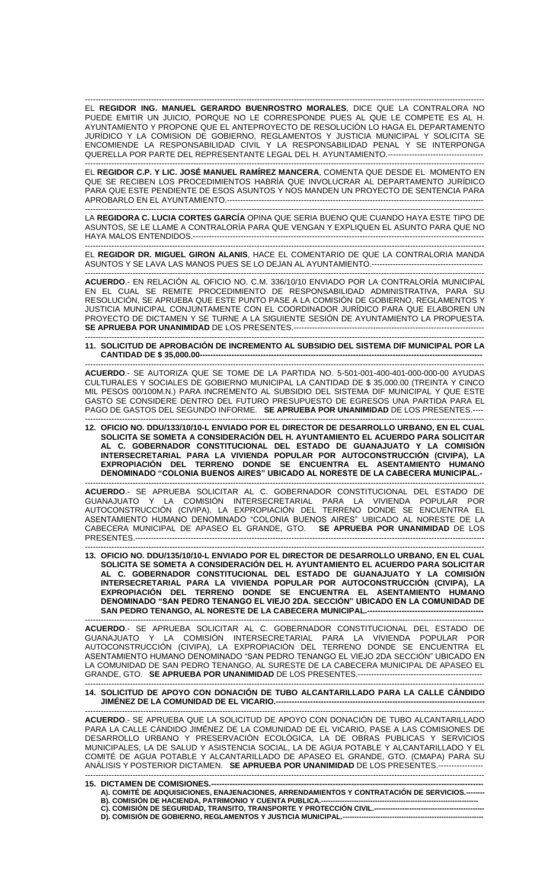------------------------------------------------------------------------------------------------------------------------------------------------------- EL **REGIDOR ING. MANUEL GERARDO BUENROSTRO MORALES**, DICE QUE LA CONTRALORA NO PUEDE EMITIR UN JUICIO, PORQUE NO LE CORRESPONDE PUES AL QUE LE COMPETE ES AL H. AYUNTAMIENTO Y PROPONE QUE EL ANTEPROYECTO DE RESOLUCIÓN LO HAGA EL DEPARTAMENTO JURÍDICO Y LA COMISION DE GOBIERNO, REGLAMENTOS Y JUSTICIA MUNICIPAL Y SOLICITA SE ENCOMIENDE LA RESPONSABILIDAD CIVIL Y LA RESPONSABILIDAD PENAL Y SE INTERPONGA QUERELLA POR PARTE DEL REPRESENTANTE LEGAL DEL H. AYUNTAMIENTO.------------------------------------

------------------------------------------------------------------------------------------------------------------------------------------------------- EL **REGIDOR C.P. Y LIC. JOSÉ MANUEL RAMÍREZ MANCERA**, COMENTA QUE DESDE EL MOMENTO EN QUE SE RECIBEN LOS PROCEDIMIENTOS HABRÍA QUE INVOLUCRAR AL DEPARTAMENTO JURÍDICO PARA QUE ESTE PENDIENTE DE ESOS ASUNTOS Y NOS MANDEN UN PROYECTO DE SENTENCIA PARA APROBARLO EN EL AYUNTAMIENTO.-------------------------------------------------------------------------------------------------

------------------------------------------------------------------------------------------------------------------------------------------------------- LA **REGIDORA C. LUCIA CORTES GARCÍA** OPINA QUE SERIA BUENO QUE CUANDO HAYA ESTE TIPO DE ASUNTOS, SE LE LLAME A CONTRALORÍA PARA QUE VENGAN Y EXPLIQUEN EL ASUNTO PARA QUE NO HAYA MALOS ENTENDIDOS.--------------------------------------------------------------------------------------------------------------

------------------------------------------------------------------------------------------------------------------------------------------------------- EL **REGIDOR DR. MIGUEL GIRON ALANIS**, HACE EL COMENTARIO DE QUE LA CONTRALORIA MANDA ASUNTOS Y SE LAVA LAS MANOS PUES SE LO DEJAN AL AYUNTAMIENTO.------------------------------

------------------------------------------------------------------------------------------------------------------------------------------------------- **ACUERDO**.- EN RELACIÓN AL OFICIO NO. C.M. 336/10/10 ENVIADO POR LA CONTRALORÍA MUNICIPAL EN EL CUAL SE REMITE PROCEDIMIENTO DE RESPONSABILIDAD ADMINISTRATIVA, PARA SU RESOLUCIÓN, SE APRUEBA QUE ESTE PUNTO PASE A LA COMISIÓN DE GOBIERNO, REGLAMENTOS Y JUSTICIA MUNICIPAL CONJUNTAMENTE CON EL COORDINADOR JURÍDICO PARA QUE ELABOREN UN PROYECTO DE DICTAMEN Y SE TURNE A LA SIGUIENTE SESIÓN DE AYUNTAMIENTO LA PROPUESTA. **SE APRUEBA POR UNANIMIDAD** DE LOS PRESENTES.---------------------

#### ------------------------------------------------------------------------------------------------------------------------------------------------------- **11. SOLICITUD DE APROBACIÓN DE INCREMENTO AL SUBSIDIO DEL SISTEMA DIF MUNICIPAL POR LA** CANTIDAD DE \$ 35,000.00----

------------------------------------------------------------------------------------------------------------------------------------------------------- **ACUERDO**.- SE AUTORIZA QUE SE TOME DE LA PARTIDA NO. 5-501-001-400-401-000-000-00 AYUDAS CULTURALES Y SOCIALES DE GOBIERNO MUNICIPAL LA CANTIDAD DE \$ 35,000.00 (TREINTA Y CINCO MIL PESOS 00/100M.N.) PARA INCREMENTO AL SUBSIDIO DEL SISTEMA DIF MUNICIPAL Y QUE ESTE GASTO SE CONSIDERE DENTRO DEL FUTURO PRESUPUESTO DE EGRESOS UNA PARTIDA PARA EL PAGO DE GASTOS DEL SEGUNDO INFORME. **SE APRUEBA POR UNANIMIDAD** DE LOS PRESENTES.----

------------------------------------------------------------------------------------------------------------------------------------------------------- **12. OFICIO NO. DDU/133/10/10-L ENVIADO POR EL DIRECTOR DE DESARROLLO URBANO, EN EL CUAL SOLICITA SE SOMETA A CONSIDERACIÓN DEL H. AYUNTAMIENTO EL ACUERDO PARA SOLICITAR AL C. GOBERNADOR CONSTITUCIONAL DEL ESTADO DE GUANAJUATO Y LA COMISIÓN INTERSECRETARIAL PARA LA VIVIENDA POPULAR POR AUTOCONSTRUCCIÓN (CIVIPA), LA EXPROPIACIÓN DEL TERRENO DONDE SE ENCUENTRA EL ASENTAMIENTO HUMANO DENOMINADO "COLONIA BUENOS AIRES" UBICADO AL NORESTE DE LA CABECERA MUNICIPAL.-**

------------------------------------------------------------------------------------------------------------------------------------------------------- **ACUERDO**.- SE APRUEBA SOLICITAR AL C. GOBERNADOR CONSTITUCIONAL DEL ESTADO DE GUANAJUATO Y LA COMISIÓN INTERSECRETARIAL PARA LA VIVIENDA POPULAR POR AUTOCONSTRUCCIÓN (CIVIPA), LA EXPROPIACIÓN DEL TERRENO DONDE SE ENCUENTRA EL ASENTAMIENTO HUMANO DENOMINADO "COLONIA BUENOS AIRES" UBICADO AL NORESTE DE LA CABECERA MUNICIPAL DE APASEO EL GRANDE, GTO. **SE APRUEBA POR UNANIMIDAD** DE LOS PRESENTES.------------------------------------------------------------------------------------------------------------------------------------

------------------------------------------------------------------------------------------------------------------------------------------------------- **13. OFICIO NO. DDU/135/10/10-L ENVIADO POR EL DIRECTOR DE DESARROLLO URBANO, EN EL CUAL SOLICITA SE SOMETA A CONSIDERACIÓN DEL H. AYUNTAMIENTO EL ACUERDO PARA SOLICITAR AL C. GOBERNADOR CONSTITUCIONAL DEL ESTADO DE GUANAJUATO Y LA COMISIÓN INTERSECRETARIAL PARA LA VIVIENDA POPULAR POR AUTOCONSTRUCCIÓN (CIVIPA), LA EXPROPIACIÓN DEL TERRENO DONDE SE ENCUENTRA EL ASENTAMIENTO HUMANO DENOMINADO "SAN PEDRO TENANGO EL VIEJO 2DA. SECCIÓN" UBICADO EN LA COMUNIDAD DE**  SAN PEDRO TENANGO, AL NORESTE DE LA CABECERA MUNICIPAL.------------------------

------------------------------------------------------------------------------------------------------------------------------------------------------- **ACUERDO**.- SE APRUEBA SOLICITAR AL C. GOBERNADOR CONSTITUCIONAL DEL ESTADO DE GUANAJUATO Y LA COMISIÓN INTERSECRETARIAL PARA LA VIVIENDA POPULAR POR AUTOCONSTRUCCIÓN (CIVIPA), LA EXPROPIACIÓN DEL TERRENO DONDE SE ENCUENTRA EL ASENTAMIENTO HUMANO DENOMINADO "SAN PEDRO TENANGO EL VIEJO 2DA SECCIÓN" UBICADO EN LA COMUNIDAD DE SAN PEDRO TENANGO, AL SURESTE DE LA CABECERA MUNICIPAL DE APASEO EL GRANDE, GTO. **SE APRUEBA POR UNANIMIDAD** DE LOS PRESENTES.-----------------------------------------------

### ------------------------------------------------------------------------------------------------------------------------------------------------------- **14. SOLICITUD DE APOYO CON DONACIÓN DE TUBO ALCANTARILLADO PARA LA CALLE CÁNDIDO JIMÉNEZ DE LA COMUNIDAD DE EL VICARIO.--**

------------------------------------------------------------------------------------------------------------------------------------------------------- **ACUERDO**.- SE APRUEBA QUE LA SOLICITUD DE APOYO CON DONACIÓN DE TUBO ALCANTARILLADO PARA LA CALLE CÁNDIDO JIMÉNEZ DE LA COMUNIDAD DE EL VICARIO, PASE A LAS COMISIONES DE DESARROLLO URBANO Y PRESERVACIÓN ECOLÓGICA, LA DE OBRAS PUBLICAS Y SERVICIOS MUNICIPALES, LA DE SALUD Y ASISTENCIA SOCIAL, LA DE AGUA POTABLE Y ALCANTARILLADO Y EL COMITÉ DE AGUA POTABLE Y ALCANTARILLADO DE APASEO EL GRANDE, GTO. (CMAPA) PARA SU ANÁLISIS Y POSTERIOR DICTAMEN. **SE APRUEBA POR UNANIMIDAD** DE LOS PRESENTES.-----------------

### ------------------------------------------------------------------------------------------------------------------------------------------------------- **15. DICTAMEN DE COMISIONES.------------------------------------------------------------------------------------------------------- A). COMITÉ DE ADQUISICIONES, ENAJENACIONES, ARRENDAMIENTOS Y CONTRATACIÓN DE SERVICIOS.--------**

- B). COMISIÓN DE HACIENDA, PATRIMONIO Y CUENTA PUBLICA. **C). COMISIÓN DE SEGURIDAD, TRANSITO, TRANSPORTE Y PROTECCIÓN CIVIL.-----------------------------------------------**
- **D). COMISIÓN DE GOBIERNO, REGLAMENTOS Y JUSTICIA MUNICIPAL.------------------------------------------------------------**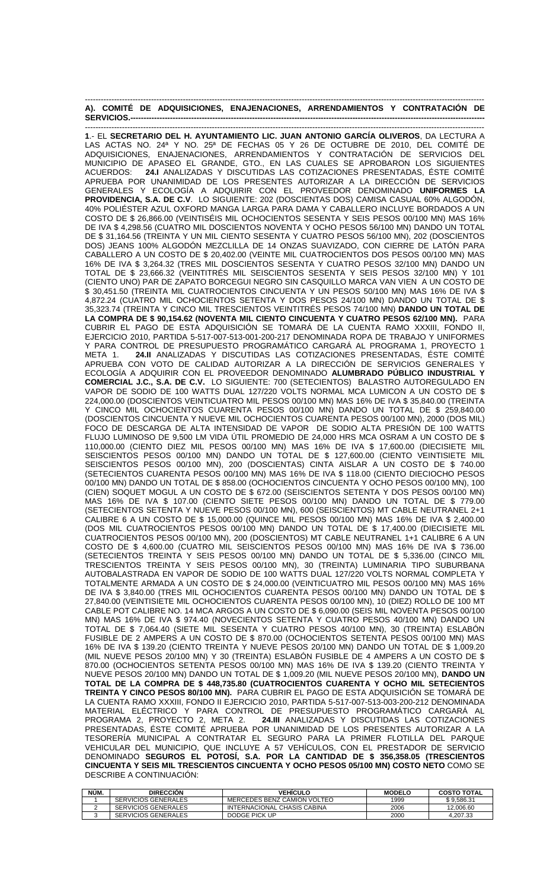|  |  | A). COMITÉ DE ADQUISICIONES, ENAJENACIONES, ARRENDAMIENTOS Y CONTRATACIÓN DE |  |  |
|--|--|------------------------------------------------------------------------------|--|--|
|  |  |                                                                              |  |  |

------------------------------------------------------------------------------------------------------------------------------------------------------- **1**.- EL **SECRETARIO DEL H. AYUNTAMIENTO LIC. JUAN ANTONIO GARCÍA OLIVEROS**, DA LECTURA A LAS ACTAS NO. 24ª Y NO. 25ª DE FECHAS 05 Y 26 DE OCTUBRE DE 2010, DEL COMITÉ DE ADQUISICIONES, ENAJENACIONES, ARRENDAMIENTOS Y CONTRATACIÓN DE SERVICIOS DEL MUNICIPIO DE APASEO EL GRANDE, GTO., EN LAS CUALES SE APROBARON LOS SIGUIENTES<br>ACUERDOS: **24.I** ANALIZADAS Y DISCUTIDAS LAS COTIZACIONES PRESENTADAS, ÉSTE COMITÉ 24.I ANALIZADAS Y DISCUTIDAS LAS COTIZACIONES PRESENTADAS, ÉSTE COMITÉ APRUEBA POR UNANIMIDAD DE LOS PRESENTES AUTORIZAR A LA DIRECCIÓN DE SERVICIOS GENERALES Y ECOLOGÍA A ADQUIRIR CON EL PROVEEDOR DENOMINADO **UNIFORMES LA PROVIDENCIA, S.A. DE C.V**. LO SIGUIENTE: 202 (DOSCIENTAS DOS) CAMISA CASUAL 60% ALGODÓN, 40% POLIÉSTER AZUL OXFORD MANGA LARGA PARA DAMA Y CABALLERO INCLUYE BORDADOS A UN COSTO DE \$ 26,866.00 (VEINTISÉIS MIL OCHOCIENTOS SESENTA Y SEIS PESOS 00/100 MN) MAS 16% DE IVA \$ 4,298.56 (CUATRO MIL DOSCIENTOS NOVENTA Y OCHO PESOS 56/100 MN) DANDO UN TOTAL DE \$ 31,164.56 (TREINTA Y UN MIL CIENTO SESENTA Y CUATRO PESOS 56/100 MN), 202 (DOSCIENTOS DOS) JEANS 100% ALGODÓN MEZCLILLA DE 14 ONZAS SUAVIZADO, CON CIERRE DE LATÓN PARA CABALLERO A UN COSTO DE \$ 20,402.00 (VEINTE MIL CUATROCIENTOS DOS PESOS 00/100 MN) MAS 16% DE IVA \$ 3,264.32 (TRES MIL DOSCIENTOS SESENTA Y CUATRO PESOS 32/100 MN) DANDO UN TOTAL DE \$ 23,666.32 (VEINTITRÉS MIL SEISCIENTOS SESENTA Y SEIS PESOS 32/100 MN) Y 101 (CIENTO UNO) PAR DE ZAPATO BORCEGUI NEGRO SIN CASQUILLO MARCA VAN VIEN A UN COSTO DE \$ 30,451.50 (TREINTA MIL CUATROCIENTOS CINCUENTA Y UN PESOS 50/100 MN) MAS 16% DE IVA \$ 4,872.24 (CUATRO MIL OCHOCIENTOS SETENTA Y DOS PESOS 24/100 MN) DANDO UN TOTAL DE \$ 35,323.74 (TREINTA Y CINCO MIL TRESCIENTOS VEINTITRÉS PESOS 74/100 MN) **DANDO UN TOTAL DE LA COMPRA DE \$ 90,154.62 (NOVENTA MIL CIENTO CINCUENTA Y CUATRO PESOS 62/100 MN).** PARA CUBRIR EL PAGO DE ESTA ADQUISICIÓN SE TOMARÁ DE LA CUENTA RAMO XXXIII, FONDO II, EJERCICIO 2010, PARTIDA 5-517-007-513-001-200-217 DENOMINADA ROPA DE TRABAJO Y UNIFORMES Y PARA CONTROL DE PRESUPUESTO PROGRAMÁTICO CARGARÁ AL PROGRAMA 1, PROYECTO 1 META 1. **24.II** ANALIZADAS Y DISCUTIDAS LAS COTIZACIONES PRESENTADAS, ÉSTE COMITÉ APRUEBA CON VOTO DE CALIDAD AUTORIZAR A LA DIRECCIÓN DE SERVICIOS GENERALES Y ECOLOGÍA A ADQUIRIR CON EL PROVEEDOR DENOMINADO **ALUMBRADO PÚBLICO INDUSTRIAL Y COMERCIAL J.C., S.A. DE C.V.** LO SIGUIENTE: 700 (SETECIENTOS) BALASTRO AUTOREGULADO EN VAPOR DE SODIO DE 100 WATTS DUAL 127/220 VOLTS NORMAL MCA LUMICON A UN COSTO DE \$ 224,000.00 (DOSCIENTOS VEINTICUATRO MIL PESOS 00/100 MN) MAS 16% DE IVA \$ 35,840.00 (TREINTA Y CINCO MIL OCHOCIENTOS CUARENTA PESOS 00/100 MN) DANDO UN TOTAL DE \$ 259,840.00 (DOSCIENTOS CINCUENTA Y NUEVE MIL OCHOCIENTOS CUARENTA PESOS 00/100 MN), 2000 (DOS MIL) FOCO DE DESCARGA DE ALTA INTENSIDAD DE VAPOR DE SODIO ALTA PRESION DE 100 WATTS FLUJO LUMINOSO DE 9,500 LM VIDA ÚTIL PROMEDIO DE 24,000 HRS MCA OSRAM A UN COSTO DE \$ 110,000.00 (CIENTO DIEZ MIL PESOS 00/100 MN) MAS 16% DE IVA \$ 17,600.00 (DIECISIETE MIL SEISCIENTOS PESOS 00/100 MN) DANDO UN TOTAL DE \$ 127,600.00 (CIENTO VEINTISIETE MIL SEISCIENTOS PESOS 00/100 MN), 200 (DOSCIENTAS) CINTA AISLAR A UN COSTO DE \$ 740.00 (SETECIENTOS CUARENTA PESOS 00/100 MN) MAS 16% DE IVA \$ 118.00 (CIENTO DIECIOCHO PESOS 00/100 MN) DANDO UN TOTAL DE \$ 858.00 (OCHOCIENTOS CINCUENTA Y OCHO PESOS 00/100 MN), 100 (CIEN) SOQUET MOGUL A UN COSTO DE \$ 672.00 (SEISCIENTOS SETENTA Y DOS PESOS 00/100 MN) MAS 16% DE IVA \$ 107.00 (CIENTO SIETE PESOS 00/100 MN) DANDO UN TOTAL DE \$ 779.00 (SETECIENTOS SETENTA Y NUEVE PESOS 00/100 MN), 600 (SEISCIENTOS) MT CABLE NEUTRANEL 2+1 CALIBRE 6 A UN COSTO DE \$ 15,000.00 (QUINCE MIL PESOS 00/100 MN) MAS 16% DE IVA \$ 2,400.00 (DOS MIL CUATROCIENTOS PESOS 00/100 MN) DANDO UN TOTAL DE \$ 17,400.00 (DIECISIETE MIL CUATROCIENTOS PESOS 00/100 MN), 200 (DOSCIENTOS) MT CABLE NEUTRANEL 1+1 CALIBRE 6 A UN COSTO DE \$ 4,600.00 (CUATRO MIL SEISCIENTOS PESOS 00/100 MN) MAS 16% DE IVA \$ 736.00 (SETECIENTOS TREINTA Y SEIS PESOS 00/100 MN) DANDO UN TOTAL DE \$ 5,336.00 (CINCO MIL TRESCIENTOS TREINTA Y SEIS PESOS 00/100 MN), 30 (TREINTA) LUMINARIA TIPO SUBURBANA AUTOBALASTRADA EN VAPOR DE SODIO DE 100 WATTS DUAL 127/220 VOLTS NORMAL COMPLETA Y TOTALMENTE ARMADA A UN COSTO DE \$ 24,000.00 (VEINTICUATRO MIL PESOS 00/100 MN) MAS 16% DE IVA \$ 3,840.00 (TRES MIL OCHOCIENTOS CUARENTA PESOS 00/100 MN) DANDO UN TOTAL DE \$ 27,840.00 (VEINTISIETE MIL OCHOCIENTOS CUARENTA PESOS 00/100 MN), 10 (DIEZ) ROLLO DE 100 MT CABLE POT CALIBRE NO. 14 MCA ARGOS A UN COSTO DE \$ 6,090.00 (SEIS MIL NOVENTA PESOS 00/100 MN) MAS 16% DE IVA \$ 974.40 (NOVECIENTOS SETENTA Y CUATRO PESOS 40/100 MN) DANDO UN TOTAL DE \$ 7,064.40 (SIETE MIL SESENTA Y CUATRO PESOS 40/100 MN), 30 (TREINTA) ESLABÓN FUSIBLE DE 2 AMPERS A UN COSTO DE \$ 870.00 (OCHOCIENTOS SETENTA PESOS 00/100 MN) MAS 16% DE IVA \$ 139.20 (CIENTO TREINTA Y NUEVE PESOS 20/100 MN) DANDO UN TOTAL DE \$ 1,009.20 (MIL NUEVE PESOS 20/100 MN) Y 30 (TREINTA) ESLABÓN FUSIBLE DE 4 AMPERS A UN COSTO DE \$ 870.00 (OCHOCIENTOS SETENTA PESOS 00/100 MN) MAS 16% DE IVA \$ 139.20 (CIENTO TREINTA Y NUEVE PESOS 20/100 MN) DANDO UN TOTAL DE \$ 1,009.20 (MIL NUEVE PESOS 20/100 MN), **DANDO UN TOTAL DE LA COMPRA DE \$ 448,735.80 (CUATROCIENTOS CUARENTA Y OCHO MIL SETECIENTOS TREINTA Y CINCO PESOS 80/100 MN).** PARA CUBRIR EL PAGO DE ESTA ADQUISICIÓN SE TOMARÁ DE LA CUENTA RAMO XXXIII, FONDO II EJERCICIO 2010, PARTIDA 5-517-007-513-003-200-212 DENOMINADA MATERIAL ELÉCTRICO Y PARA CONTROL DE PRESUPUESTO PROGRAMÁTICO CARGARÁ AL PROGRAMA 2, PROYECTO 2, META 2. **24.III** ANALIZADAS Y DISCUTIDAS LAS COTIZACIONES PRESENTADAS, ÉSTE COMITÉ APRUEBA POR UNANIMIDAD DE LOS PRESENTES AUTORIZAR A LA TESORERÍA MUNICIPAL A CONTRATAR EL SEGURO PARA LA PRIMER FLOTILLA DEL PARQUE VEHICULAR DEL MUNICIPIO, QUE INCLUYE A 57 VEHÍCULOS, CON EL PRESTADOR DE SERVICIO DENOMINADO **SEGUROS EL POTOSÍ, S.A. POR LA CANTIDAD DE \$ 356,358.05 (TRESCIENTOS CINCUENTA Y SEIS MIL TRESCIENTOS CINCUENTA Y OCHO PESOS 05/100 MN) COSTO NETO** COMO SE DESCRIBE A CONTINUACIÓN:

| NÚM. | <b>DIRECCIÓN</b>           | VEHICULO                    | <b>MODELO</b> | <b>COSTO TOTAL</b> |
|------|----------------------------|-----------------------------|---------------|--------------------|
|      | SERVICIOS GENERALES        | MERCEDES BENZ CAMION VOLTEO | 1999          | \$9.586.31         |
|      | <b>SERVICIOS GENERALES</b> | INTERNACIONAL CHASIS CABINA | 2006          | 12.006.60          |
|      | SERVICIOS GENERALES        | DODGE PICK UP               | 2000          | 4.207.33           |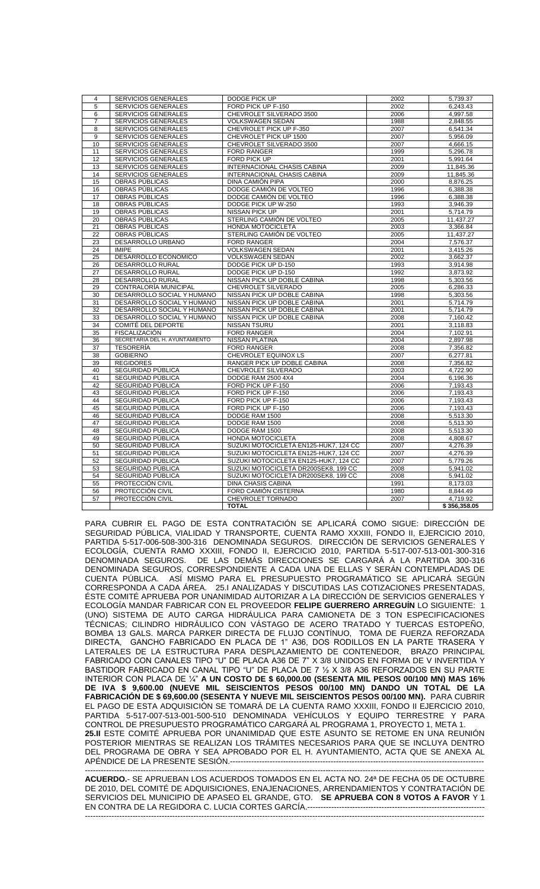| $\overline{4}$ | SERVICIOS GENERALES                                    | DODGE PICK UP                         | 2002         | 5,739.37             |
|----------------|--------------------------------------------------------|---------------------------------------|--------------|----------------------|
| $\overline{5}$ | SERVICIOS GENERALES                                    | FORD PICK UP F-150                    | 2002         | 6,243.43             |
| 6              | SERVICIOS GENERALES                                    | CHEVROLET SILVERADO 3500              | 2006         | 4,997.58             |
| $\overline{7}$ | <b>SERVICIOS GENERALES</b>                             | <b>VOLKSWAGEN SEDAN</b>               | 1988         | 2,848.55             |
| 8              | SERVICIOS GENERALES                                    | CHEVROLET PICK UP F-350               | 2007         | 6,541.34             |
| 9              | SERVICIOS GENERALES                                    | CHEVROLET PICK UP 1500                | 2007         | 5,956.09             |
| 10             | SERVICIOS GENERALES                                    | CHEVROLET SILVERADO 3500              | 2007         | 4,666.15             |
| 11             | SERVICIOS GENERALES                                    | <b>FORD RANGER</b>                    | 1999         | 5,296.78             |
| 12             | <b>SERVICIOS GENERALES</b>                             | <b>FORD PICK UP</b>                   | 2001         | 5,991.64             |
| 13             | SERVICIOS GENERALES                                    | INTERNACIONAL CHASIS CABINA           | 2009         | 11,845.36            |
| 14             | SERVICIOS GENERALES                                    | INTERNACIONAL CHASIS CABINA           | 2009         | 11,845.36            |
| 15             | OBRAS PÚBLICAS                                         | DINA CAMIÓN PIPA                      | 2000         | 8,876.25             |
| 16             | OBRAS PÚBLICAS                                         | DODGE CAMIÓN DE VOLTEO                | 1996         | 6,388.38             |
| 17             | <b>OBRAS PÚBLICAS</b>                                  | DODGE CAMIÓN DE VOLTEO                | 1996         | 6,388.38             |
| 18             | OBRAS PÚBLICAS                                         | DODGE PICK UP W-250                   | 1993         | 3,946.39             |
| 19             | OBRAS PÚBLICAS                                         | NISSAN PICK UP                        | 2001         | 5,714.79             |
| 20             | OBRAS PÚBLICAS                                         | STERLING CAMIÓN DE VOLTEO             | 2005         | 11,437.27            |
| 21             | OBRAS PÚBLICAS                                         | HONDA MOTOCICLETA                     | 2003         | 3,366.84             |
| 22             | OBRAS PÚBLICAS                                         | STERLING CAMIÓN DE VOLTEO             | 2005         | 11,437.27            |
| 23             | DESARROLLO URBANO                                      | <b>FORD RANGER</b>                    | 2004         | 7,576.37             |
| 24             | <b>IMIPE</b>                                           | <b>VOLKSWAGEN SEDAN</b>               | 2001         | 3,415.26             |
| 25             | DESARROLLO ECONÓMICO                                   | <b>VOLKSWAGEN SEDAN</b>               | 2002         | 3,662.37             |
| 26             | DESARROLLO RURAL                                       | DODGE PICK UP D-150                   | 1993         | 3,914.98             |
| 27             | <b>DESARROLLO RURAL</b>                                | DODGE PICK UP D-150                   | 1992         | 3,873.92             |
| 28             | DESARROLLO RURAL                                       | NISSAN PICK UP DOBLE CABINA           | 1998         | 5,303.56             |
| 29             | CONTRALORÍA MUNICIPAL                                  | CHEVROLET SILVERADO                   | 2005         | 6,286.33             |
| 30             | DESARROLLO SOCIAL Y HUMANO                             | NISSAN PICK UP DOBLE CABINA           | 1998         |                      |
| 31             | DESARROLLO SOCIAL Y HUMANO                             | NISSAN PICK UP DOBLE CABINA           | 2001         | 5,303.56<br>5,714.79 |
|                | DESARROLLO SOCIAL Y HUMANO                             | NISSAN PICK UP DOBLE CABINA           |              |                      |
| 32<br>33       | DESARROLLO SOCIAL Y HUMANO                             | NISSAN PICK UP DOBLE CABINA           | 2001<br>2008 | 5,714.79<br>7,160.42 |
| 34             | COMITÉ DEL DEPORTE                                     |                                       | 2001         |                      |
|                |                                                        | <b>NISSAN TSURU</b>                   |              | 3.118.83             |
| 35             | <b>FISCALIZACIÓN</b><br>SECRETARÍA DEL H. AYUNTAMIENTO | <b>FORD RANGER</b>                    | 2004         | 7,102.91             |
| 36             |                                                        | NISSAN PLATINA                        | 2004         | 2,897.98             |
| 37             | <b>TESORERÍA</b>                                       | <b>FORD RANGER</b>                    | 2008         | 7,356.82             |
| 38             | <b>GOBIERNO</b>                                        | CHEVROLET EQUINOX LS                  | 2007         | 6,277.81             |
| 39             | <b>REGIDORES</b>                                       | RANGER PICK UP DOBLE CABINA           | 2008         | 7,356.82             |
| 40             | SEGURIDAD PÚBLICA                                      | CHEVROLET SILVERADO                   | 2003         | 4,722.90             |
| 41             | SEGURIDAD PÚBLICA                                      | DODGE RAM 2500 4X4                    | 2004         | 6,196.36             |
| 42             | SEGURIDAD PÚBLICA                                      | FORD PICK UP F-150                    | 2006         | 7,193.43             |
| 43             | SEGURIDAD PÚBLICA                                      | FORD PICK UP F-150                    | 2006         | 7,193.43             |
| 44             | SEGURIDAD PÚBLICA                                      | FORD PICK UP F-150                    | 2006         | 7,193.43             |
| 45             | SEGURIDAD PÚBLICA                                      | FORD PICK UP F-150                    | 2006         | 7,193.43             |
| 46             | SEGURIDAD PÚBLICA                                      | DODGE RAM 1500                        | 2008         | 5,513.30             |
| 47             | SEGURIDAD PÚBLICA                                      | DODGE RAM 1500                        | 2008         | 5,513.30             |
| 48             | SEGURIDAD PÚBLICA                                      | DODGE RAM 1500                        | 2008         | 5,513.30             |
| 49             | SEGURIDAD PÚBLICA                                      | HONDA MOTOCICLETA                     | 2008         | 4,808.67             |
| 50             | SEGURIDAD PÚBLICA                                      | SUZUKI MOTOCICLETA EN125-HUK7, 124 CC | 2007         | 4,276.39             |
| 51             | SEGURIDAD PÚBLICA                                      | SUZUKI MOTOCICLETA EN125-HUK7, 124 CC | 2007         | 4,276.39             |
| 52             | SEGURIDAD PÚBLICA                                      | SUZUKI MOTOCICLETA EN125-HUK7, 124 CC | 2007         | 5,779.26             |
| 53             | SEGURIDAD PÚBLICA                                      | SUZUKI MOTOCICLETA DR200SEK8, 199 CC  | 2008         | 5,941.02             |
| 54             | SEGURIDAD PÚBLICA                                      | SUZUKI MOTOCICLETA DR200SEK8, 199 CC  | 2008         | 5,941.02             |
| 55             | PROTECCIÓN CIVIL                                       | <b>DINA CHASIS CABINA</b>             | 1991         | 8,173.03             |
| 56             | PROTECCIÓN CIVIL                                       | FORD CAMIÓN CISTERNA                  | 1980         | 8,844.49             |
| 57             | PROTECCIÓN CIVIL                                       | CHEVROLET TORNADO                     | 2007         | 4,719.92             |
|                |                                                        | <b>TOTAL</b>                          |              | \$356,358.05         |

PARA CUBRIR EL PAGO DE ESTA CONTRATACIÓN SE APLICARÁ COMO SIGUE: DIRECCIÓN DE SEGURIDAD PÚBLICA, VIALIDAD Y TRANSPORTE, CUENTA RAMO XXXIII, FONDO II, EJERCICIO 2010, PARTIDA 5-517-006-508-300-316 DENOMINADA SEGUROS. DIRECCIÓN DE SERVICIOS GENERALES Y ECOLOGÍA, CUENTA RAMO XXXIII, FONDO II, EJERCICIO 2010, PARTIDA 5-517-007-513-001-300-316 DENOMINADA SEGUROS. DE LAS DEMÁS DIRECCIONES SE CARGARÁ A LA PARTIDA 300-316 DENOMINADA SEGUROS, CORRESPONDIENTE A CADA UNA DE ELLAS Y SERÁN CONTEMPLADAS DE CUENTA PÚBLICA. ASÍ MISMO PARA EL PRESUPUESTO PROGRAMÁTICO SE APLICARÁ SEGÚN CORRESPONDA A CADA ÁREA. 25.I ANALIZADAS Y DISCUTIDAS LAS COTIZACIONES PRESENTADAS, ÉSTE COMITÉ APRUEBA POR UNANIMIDAD AUTORIZAR A LA DIRECCIÓN DE SERVICIOS GENERALES Y ECOLOGÍA MANDAR FABRICAR CON EL PROVEEDOR **FELIPE GUERRERO ARREGUÍN** LO SIGUIENTE: 1 (UNO) SISTEMA DE AUTO CARGA HIDRÁULICA PARA CAMIONETA DE 3 TON ESPECIFICACIONES TÉCNICAS; CILINDRO HIDRÁULICO CON VÁSTAGO DE ACERO TRATADO Y TUERCAS ESTOPEÑO, BOMBA 13 GALS. MARCA PARKER DIRECTA DE FLUJO CONTÍNUO, TOMA DE FUERZA REFORZADA DIRECTA, GANCHO FABRICADO EN PLACA DE 1" A36, DOS RODILLOS EN LA PARTE TRASERA Y LATERALES DE LA ESTRUCTURA PARA DESPLAZAMIENTO DE CONTENEDOR, BRAZO PRINCIPAL FABRICADO CON CANALES TIPO "U" DE PLACA A36 DE 7" X 3/8 UNIDOS EN FORMA DE V INVERTIDA Y BASTIDOR FABRICADO EN CANAL TIPO "U" DE PLACA DE 7 ½ X 3/8 A36 REFORZADOS EN SU PARTE INTERIOR CON PLACA DE ¼" **A UN COSTO DE \$ 60,000.00 (SESENTA MIL PESOS 00/100 MN) MAS 16% DE IVA \$ 9,600.00 (NUEVE MIL SEISCIENTOS PESOS 00/100 MN) DANDO UN TOTAL DE LA FABRICACIÓN DE \$ 69,600.00 (SESENTA Y NUEVE MIL SEISCIENTOS PESOS 00/100 MN).** PARA CUBRIR EL PAGO DE ESTA ADQUISICIÓN SE TOMARÁ DE LA CUENTA RAMO XXXIII, FONDO II EJERCICIO 2010, PARTIDA 5-517-007-513-001-500-510 DENOMINADA VEHÍCULOS Y EQUIPO TERRESTRE Y PARA CONTROL DE PRESUPUESTO PROGRAMÁTICO CARGARÁ AL PROGRAMA 1, PROYECTO 1, META 1. **25.II** ESTE COMITÉ APRUEBA POR UNANIMIDAD QUE ESTE ASUNTO SE RETOME EN UNA REUNIÓN POSTERIOR MIENTRAS SE REALIZAN LOS TRÁMITES NECESARIOS PARA QUE SE INCLUYA DENTRO DEL PROGRAMA DE OBRA Y SEA APROBADO POR EL H. AYUNTAMIENTO, ACTA QUE SE ANEXA AL APÉNDICE DE LA PRESENTE SESIÓN.----

------------------------------------------------------------------------------------------------------------------------------------------------------- **ACUERDO.**- SE APRUEBAN LOS ACUERDOS TOMADOS EN EL ACTA NO. 24ª DE FECHA 05 DE OCTUBRE DE 2010, DEL COMITÉ DE ADQUISICIONES, ENAJENACIONES, ARRENDAMIENTOS Y CONTRATACIÓN DE SERVICIOS DEL MUNICIPIO DE APASEO EL GRANDE, GTO. **SE APRUEBA CON 8 VOTOS A FAVOR** Y 1 EN CONTRA DE LA REGIDORA C. LUCIA CORTES GARCÍA.------------------------------------------------------------------- -------------------------------------------------------------------------------------------------------------------------------------------------------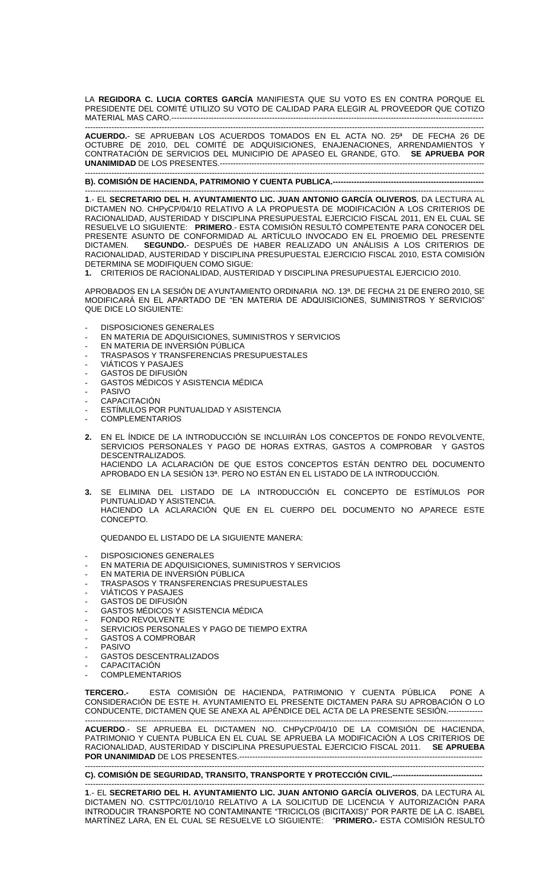LA **REGIDORA C. LUCIA CORTES GARCÍA** MANIFIESTA QUE SU VOTO ES EN CONTRA PORQUE EL PRESIDENTE DEL COMITÉ UTILIZO SU VOTO DE CALIDAD PARA ELEGIR AL PROVEEDOR QUE COTIZO MATERIAL MAS CARO.----------------------------------------------------------------------------------------------------------------------

------------------------------------------------------------------------------------------------------------------------------------------------------- **ACUERDO.**- SE APRUEBAN LOS ACUERDOS TOMADOS EN EL ACTA NO. 25ª DE FECHA 26 DE OCTUBRE DE 2010, DEL COMITÉ DE ADQUISICIONES, ENAJENACIONES, ARRENDAMIENTOS Y CONTRATACIÓN DE SERVICIOS DEL MUNICIPIO DE APASEO EL GRANDE, GTO. **SE APRUEBA POR UNANIMIDAD** DE LOS PRESENTES.----------------------------------------------------------------------------------------------------

------------------------------------------------------------------------------------------------------------------------------------------------------- **B). COMISIÓN DE HACIENDA, PATRIMONIO Y CUENTA PUBLICA.---------------------------------------------------------**

------------------------------------------------------------------------------------------------------------------------------------------------------- **1**.- EL **SECRETARIO DEL H. AYUNTAMIENTO LIC. JUAN ANTONIO GARCÍA OLIVEROS**, DA LECTURA AL DICTAMEN NO. CHPyCP/04/10 RELATIVO A LA PROPUESTA DE MODIFICACIÓN A LOS CRITERIOS DE RACIONALIDAD, AUSTERIDAD Y DISCIPLINA PRESUPUESTAL EJERCICIO FISCAL 2011, EN EL CUAL SE RESUELVE LO SIGUIENTE: **PRIMERO**.- ESTA COMISIÓN RESULTÓ COMPETENTE PARA CONOCER DEL PRESENTE ASUNTO DE CONFORMIDAD AL ARTÍCULO INVOCADO EN EL PROEMIO DEL PRESENTE<br>DICTAMEN. **SEGUNDO.**- DESPUÉS DE HABER REALIZADO UN ANÁLISIS A LOS CRITERIOS DE SEGUNDO.- DESPUÉS DE HABER REALIZADO UN ANÁLISIS A LOS CRITERIOS DE RACIONALIDAD, AUSTERIDAD Y DISCIPLINA PRESUPUESTAL EJERCICIO FISCAL 2010, ESTA COMISIÓN DETERMINA SE MODIFIQUEN COMO SIGUE:

**1.** CRITERIOS DE RACIONALIDAD, AUSTERIDAD Y DISCIPLINA PRESUPUESTAL EJERCICIO 2010.

APROBADOS EN LA SESIÓN DE AYUNTAMIENTO ORDINARIA NO. 13ª. DE FECHA 21 DE ENERO 2010, SE MODIFICARÁ EN EL APARTADO DE "EN MATERIA DE ADQUISICIONES, SUMINISTROS Y SERVICIOS" QUE DICE LO SIGUIENTE:

- DISPOSICIONES GENERALES
- EN MATERIA DE ADQUISICIONES, SUMINISTROS Y SERVICIOS
- EN MATERIA DE INVERSIÓN PÚBLICA
- TRASPASOS Y TRANSFERENCIAS PRESUPUESTALES
- VIÁTICOS Y PASAJES
- GASTOS DE DIFUSIÓN
- GASTOS MÉDICOS Y ASISTENCIA MÉDICA
- PASIVO
- **CAPACITACIÓN**
- ESTÍMULOS POR PUNTUALIDAD Y ASISTENCIA
- **COMPLEMENTARIOS**
- **2.** EN EL ÍNDICE DE LA INTRODUCCIÓN SE INCLUIRÁN LOS CONCEPTOS DE FONDO REVOLVENTE, SERVICIOS PERSONALES Y PAGO DE HORAS EXTRAS, GASTOS A COMPROBAR Y GASTOS DESCENTRALIZADOS. HACIENDO LA ACLARACIÓN DE QUE ESTOS CONCEPTOS ESTÁN DENTRO DEL DOCUMENTO APROBADO EN LA SESIÓN 13ª. PERO NO ESTÁN EN EL LISTADO DE LA INTRODUCCIÓN.
- **3.** SE ELIMINA DEL LISTADO DE LA INTRODUCCIÓN EL CONCEPTO DE ESTÍMULOS POR PUNTUALIDAD Y ASISTENCIA. HACIENDO LA ACLARACIÓN QUE EN EL CUERPO DEL DOCUMENTO NO APARECE ESTE CONCEPTO.

QUEDANDO EL LISTADO DE LA SIGUIENTE MANERA:

- DISPOSICIONES GENERALES

- EN MATERIA DE ADQUISICIONES, SUMINISTROS Y SERVICIOS
- EN MATERIA DE INVERSIÓN PÚBLICA
- TRASPASOS Y TRANSFERENCIAS PRESUPUESTALES
- VIÁTICOS Y PASAJES
- GASTOS DE DIFUSIÓN
- GASTOS MÉDICOS Y ASISTENCIA MÉDICA
- FONDO REVOLVENTE
- SERVICIOS PERSONALES Y PAGO DE TIEMPO EXTRA
- GASTOS A COMPROBAR
- **PASIVO**
- GASTOS DESCENTRALIZADOS
- **CAPACITACIÓN**
- **COMPLEMENTARIOS**

**TERCERO.-** ESTA COMISIÓN DE HACIENDA, PATRIMONIO Y CUENTA PÚBLICA PONE A CONSIDERACIÓN DE ESTE H. AYUNTAMIENTO EL PRESENTE DICTAMEN PARA SU APROBACIÓN O LO CONDUCENTE, DICTAMEN QUE SE ANEXA AL APÉNDICE DEL ACTA DE LA PRESENTE SESIÓN.------------- -------------------------------------------------------------------------------------------------------------------------------------------------------

**ACUERDO**.- SE APRUEBA EL DICTAMEN NO. CHPyCP/04/10 DE LA COMISIÓN DE HACIENDA, PATRIMONIO Y CUENTA PUBLICA EN EL CUAL SE APRUEBA LA MODIFICACIÓN A LOS CRITERIOS DE RACIONALIDAD, AUSTERIDAD Y DISCIPLINA PRESUPUESTAL EJERCICIO FISCAL 2011. **SE APRUEBA POR UNANIMIDAD** DE LOS PRESENTES.--------------------------------------------------------------------------------------------

-------------------------------------------------------------------------------------------------------------------------------------------------------

**C). COMISIÓN DE SEGURIDAD, TRANSITO, TRANSPORTE Y PROTECCIÓN CIVIL.----------------------------------**

------------------------------------------------------------------------------------------------------------------------------------------------------- **1**.- EL **SECRETARIO DEL H. AYUNTAMIENTO LIC. JUAN ANTONIO GARCÍA OLIVEROS**, DA LECTURA AL DICTAMEN NO. CSTTPC/01/10/10 RELATIVO A LA SOLICITUD DE LICENCIA Y AUTORIZACIÓN PARA INTRODUCIR TRANSPORTE NO CONTAMINANTE "TRICICLOS (BICITAXIS)" POR PARTE DE LA C. ISABEL MARTÍNEZ LARA, EN EL CUAL SE RESUELVE LO SIGUIENTE: "**PRIMERO.-** ESTA COMISIÓN RESULTÓ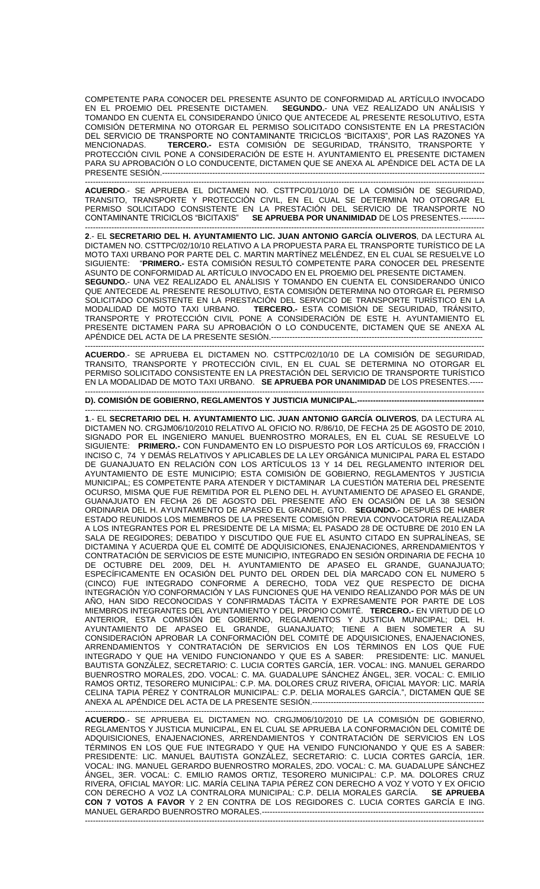COMPETENTE PARA CONOCER DEL PRESENTE ASUNTO DE CONFORMIDAD AL ARTÍCULO INVOCADO<br>EN EL PROEMIO DEL PRESENTE DICTAMEN. SEGUNDO.- UNA VEZ REALIZADO UN ANÁLISIS Y SEGUNDO.- UNA VEZ REALIZADO UN ANÁLISIS Y TOMANDO EN CUENTA EL CONSIDERANDO ÚNICO QUE ANTECEDE AL PRESENTE RESOLUTIVO, ESTA COMISIÓN DETERMINA NO OTORGAR EL PERMISO SOLICITADO CONSISTENTE EN LA PRESTACIÓN DEL SERVICIO DE TRANSPORTE NO CONTAMINANTE TRICICLOS "BICITAXIS", POR LAS RAZONES YA MENCIONADAS. **TERCERO.-** ESTA COMISIÓN DE SEGURIDAD, TRÁNSITO, TRANSPORTE Y PROTECCIÓN CIVIL PONE A CONSIDERACIÓN DE ESTE H. AYUNTAMIENTO EL PRESENTE DICTAMEN PARA SU APROBACIÓN O LO CONDUCENTE, DICTAMEN QUE SE ANEXA AL APÉNDICE DEL ACTA DE LA **PRESENTE SESIÓN.-------**

------------------------------------------------------------------------------------------------------------------------------------------------------- **ACUERDO**.- SE APRUEBA EL DICTAMEN NO. CSTTPC/01/10/10 DE LA COMISIÓN DE SEGURIDAD, TRANSITO, TRANSPORTE Y PROTECCIÓN CIVIL, EN EL CUAL SE DETERMINA NO OTORGAR EL PERMISO SOLICITADO CONSISTENTE EN LA PRESTACIÓN DEL SERVICIO DE TRANSPORTE NO CONTAMINANTE TRICICLOS "BICITAXIS" **SE APRUEBA POR UNANIMIDAD** DE LOS PRESENTES.---------

------------------------------------------------------------------------------------------------------------------------------------------------------- **2**.- EL **SECRETARIO DEL H. AYUNTAMIENTO LIC. JUAN ANTONIO GARCÍA OLIVEROS**, DA LECTURA AL DICTAMEN NO. CSTTPC/02/10/10 RELATIVO A LA PROPUESTA PARA EL TRANSPORTE TURÍSTICO DE LA MOTO TAXI URBANO POR PARTE DEL C. MARTIN MARTÍNEZ MELÉNDEZ, EN EL CUAL SE RESUELVE LO<br>SIGUIENTE: "**PRIMERO.-** ESTA COMISIÓN RESULTÓ COMPETENTE PARA CONOCER DEL PRESENTE SIGUIENTE: "**PRIMERO.-** ESTA COMISIÓN RESULTÓ COMPETENTE PARA CONOCER DEL PRESENTE ASUNTO DE CONFORMIDAD AL ARTÍCULO INVOCADO EN EL PROEMIO DEL PRESENTE DICTAMEN. **SEGUNDO.**- UNA VEZ REALIZADO EL ANÁLISIS Y TOMANDO EN CUENTA EL CONSIDERANDO ÚNICO QUE ANTECEDE AL PRESENTE RESOLUTIVO, ESTA COMISIÓN DETERMINA NO OTORGAR EL PERMISO SOLICITADO CONSISTENTE EN LA PRESTACIÓN DEL SERVICIO DE TRANSPORTE TURÍSTICO EN LA MODALIDAD DE MOTO TAXI URBANO. **TERCERO.-** ESTA COMISIÓN DE SEGURIDAD, TRÁNSITO, TRANSPORTE Y PROTECCIÓN CIVIL PONE A CONSIDERACIÓN DE ESTE H. AYUNTAMIENTO EL PRESENTE DICTAMEN PARA SU APROBACIÓN O LO CONDUCENTE, DICTAMEN QUE SE ANEXA AL APÉNDICE DEL ACTA DE LA PRESENTE SESIÓN.----

------------------------------------------------------------------------------------------------------------------------------------------------------- **ACUERDO**.- SE APRUEBA EL DICTAMEN NO. CSTTPC/02/10/10 DE LA COMISIÓN DE SEGURIDAD, TRANSITO, TRANSPORTE Y PROTECCIÓN CIVIL, EN EL CUAL SE DETERMINA NO OTORGAR EL PERMISO SOLICITADO CONSISTENTE EN LA PRESTACIÓN DEL SERVICIO DE TRANSPORTE TURÍSTICO EN LA MODALIDAD DE MOTO TAXI URBANO. **SE APRUEBA POR UNANIMIDAD** DE LOS PRESENTES.-----

------------------------------------------------------------------------------------------------------------------------------------------------------- **D). COMISIÓN DE GOBIERNO, REGLAMENTOS Y JUSTICIA MUNICIPAL.------------------------------------------------**

------------------------------------------------------------------------------------------------------------------------------------------------------- **1**.- EL **SECRETARIO DEL H. AYUNTAMIENTO LIC. JUAN ANTONIO GARCÍA OLIVEROS**, DA LECTURA AL DICTAMEN NO. CRGJM06/10/2010 RELATIVO AL OFICIO NO. R/86/10, DE FECHA 25 DE AGOSTO DE 2010, SIGNADO POR EL INGENIERO MANUEL BUENROSTRO MORALES, EN EL CUAL SE RESUELVE LO SIGUIENTE: **PRIMERO.-** CON FUNDAMENTO EN LO DISPUESTO POR LOS ARTÍCULOS 69, FRACCIÓN I INCISO C, 74 Y DEMÁS RELATIVOS Y APLICABLES DE LA LEY ORGÁNICA MUNICIPAL PARA EL ESTADO DE GUANAJUATO EN RELACIÓN CON LOS ARTÍCULOS 13 Y 14 DEL REGLAMENTO INTERIOR DEL AYUNTAMIENTO DE ESTE MUNICIPIO; ESTA COMISIÓN DE GOBIERNO, REGLAMENTOS Y JUSTICIA MUNICIPAL; ES COMPETENTE PARA ATENDER Y DICTAMINAR LA CUESTIÓN MATERIA DEL PRESENTE OCURSO, MISMA QUE FUE REMITIDA POR EL PLENO DEL H. AYUNTAMIENTO DE APASEO EL GRANDE, GUANAJUATO EN FECHA 26 DE AGOSTO DEL PRESENTE ANO EN OCASIÓN DE LA 38 SESIÓN ORDINARIA DEL H. AYUNTAMIENTO DE APASEO EL GRANDE, GTO. **SEGUNDO.-** DESPUÉS DE HABER ESTADO REUNIDOS LOS MIEMBROS DE LA PRESENTE COMISIÓN PREVIA CONVOCATORIA REALIZADA A LOS INTEGRANTES POR EL PRESIDENTE DE LA MISMA; EL PASADO 28 DE OCTUBRE DE 2010 EN LA SALA DE REGIDORES; DEBATIDO Y DISCUTIDO QUE FUE EL ASUNTO CITADO EN SUPRALÍNEAS, SE DICTAMINA Y ACUERDA QUE EL COMITÉ DE ADQUISICIONES, ENAJENACIONES, ARRENDAMIENTOS Y CONTRATACIÓN DE SERVICIOS DE ESTE MUNICIPIO, INTEGRADO EN SESIÓN ORDINARIA DE FECHA 10 DE OCTUBRE DEL 2009, DEL H. AYUNTAMIENTO DE APASEO EL GRANDE, GUANAJUATO; ESPECÍFICAMENTE EN OCASIÓN DEL PUNTO DEL ORDEN DEL DÍA MARCADO CON EL NUMERO 5 (CINCO) FUE INTEGRADO CONFORME A DERECHO, TODA VEZ QUE RESPECTO DE DICHA INTEGRACIÓN Y/O CONFORMACIÓN Y LAS FUNCIONES QUE HA VENIDO REALIZANDO POR MÁS DE UN AÑO, HAN SIDO RECONOCIDAS Y CONFIRMADAS TÁCITA Y EXPRESAMENTE POR PARTE DE LOS MIEMBROS INTEGRANTES DEL AYUNTAMIENTO Y DEL PROPIO COMITÉ. **TERCERO.-** EN VIRTUD DE LO ANTERIOR, ESTA COMISIÓN DE GOBIERNO, REGLAMENTOS Y JUSTICIA MUNICIPAL; DEL H. AYUNTAMIENTO DE APASEO EL GRANDE, GUANAJUATO; TIENE A BIEN SOMETER A SU CONSIDERACIÓN APROBAR LA CONFORMACIÓN DEL COMITÉ DE ADQUISICIONES, ENAJENACIONES, ARRENDAMIENTOS Y CONTRATACIÓN DE SERVICIOS EN LOS TÉRMINOS EN LOS QUE FUE INTEGRADO Y QUE HA VENIDO FUNCIONANDO Y QUE ES A SABER: PRESIDENTE: LIC. MANUEL BAUTISTA GONZÁLEZ, SECRETARIO: C. LUCIA CORTES GARCÍA, 1ER. VOCAL: ING. MANUEL GERARDO BUENROSTRO MORALES, 2DO. VOCAL: C. MA. GUADALUPE SÁNCHEZ ÁNGEL, 3ER. VOCAL: C. EMILIO RAMOS ORTIZ, TESORERO MUNICIPAL: C.P. MA. DOLORES CRUZ RIVERA, OFICIAL MAYOR: LIC. MARÍA CELINA TAPIA PÉREZ Y CONTRALOR MUNICIPAL: C.P. DELIA MORALES GARCÍA.", DICTAMEN QUE SE ANEXA AL APÉNDICE DEL ACTA DE LA PRESENTE SESIÓN.-----------------------------------------------------------------

------------------------------------------------------------------------------------------------------------------------------------------------------- **ACUERDO**.- SE APRUEBA EL DICTAMEN NO. CRGJM06/10/2010 DE LA COMISIÓN DE GOBIERNO, REGLAMENTOS Y JUSTICIA MUNICIPAL, EN EL CUAL SE APRUEBA LA CONFORMACIÓN DEL COMITÉ DE ADQUISICIONES, ENAJENACIONES, ARRENDAMIENTOS Y CONTRATACIÓN DE SERVICIOS EN LOS TÉRMINOS EN LOS QUE FUE INTEGRADO Y QUE HA VENIDO FUNCIONANDO Y QUE ES A SABER: PRESIDENTE: LIC. MANUEL BAUTISTA GONZÁLEZ, SECRETARIO: C. LUCIA CORTES GARCÍA, 1ER. VOCAL: ING. MANUEL GERARDO BUENROSTRO MORALES, 2DO. VOCAL: C. MA. GUADALUPE SÁNCHEZ ÁNGEL, 3ER. VOCAL: C. EMILIO RAMOS ORTIZ, TESORERO MUNICIPAL: C.P. MA. DOLORES CRUZ RIVERA, OFICIAL MAYOR: LIC. MARÍA CELINA TAPIA PÉREZ CON DERECHO A VOZ Y VOTO Y EX OFICIO CON DERECHO A VOZ LA CONTRALORA MUNICIPAL: C.P. DELIA MORALES GARCÍA. **SE APRUEBA CON 7 VOTOS A FAVOR** Y 2 EN CONTRA DE LOS REGIDORES C. LUCIA CORTES GARCÍA E ING. MANUEL GERARDO BUENROSTRO MORALES.------------------------------------------------------------------------------------ -------------------------------------------------------------------------------------------------------------------------------------------------------